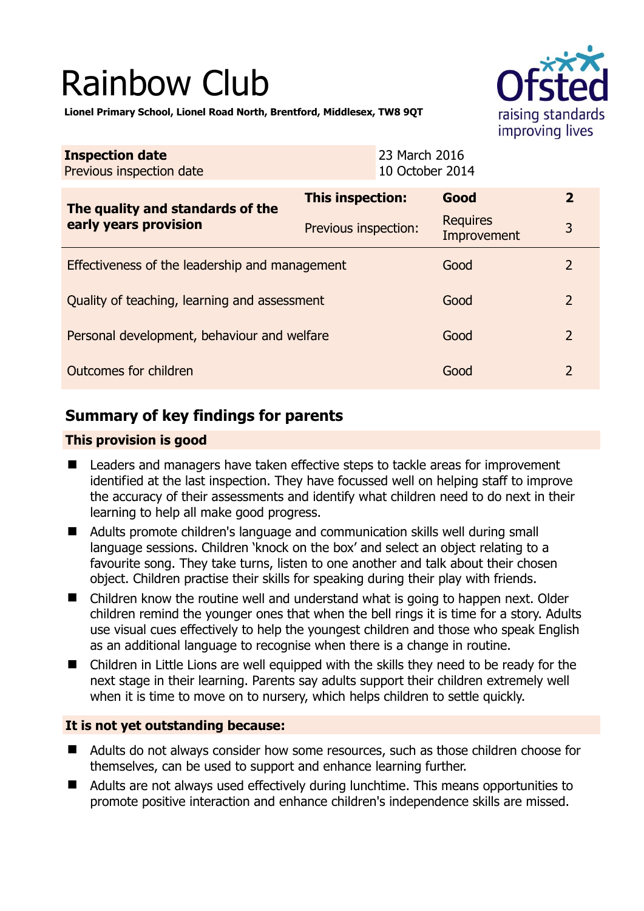# Rainbow Club



**Lionel Primary School, Lionel Road North, Brentford, Middlesex, TW8 9QT** 

| <b>Inspection date</b><br>Previous inspection date        | 23 March 2016           | 10 October 2014                |                |
|-----------------------------------------------------------|-------------------------|--------------------------------|----------------|
| The quality and standards of the<br>early years provision | <b>This inspection:</b> | Good                           | $\overline{2}$ |
|                                                           | Previous inspection:    | <b>Requires</b><br>Improvement | 3              |
| Effectiveness of the leadership and management            |                         | Good                           | 2              |
| Quality of teaching, learning and assessment              |                         | Good                           | $\overline{2}$ |
| Personal development, behaviour and welfare               |                         | Good                           | $\overline{2}$ |
| Outcomes for children                                     |                         | Good                           | $\mathcal{P}$  |

# **Summary of key findings for parents**

## **This provision is good**

- Leaders and managers have taken effective steps to tackle areas for improvement identified at the last inspection. They have focussed well on helping staff to improve the accuracy of their assessments and identify what children need to do next in their learning to help all make good progress.
- Adults promote children's language and communication skills well during small language sessions. Children 'knock on the box' and select an object relating to a favourite song. They take turns, listen to one another and talk about their chosen object. Children practise their skills for speaking during their play with friends.
- Children know the routine well and understand what is going to happen next. Older children remind the younger ones that when the bell rings it is time for a story. Adults use visual cues effectively to help the youngest children and those who speak English as an additional language to recognise when there is a change in routine.
- **The Children in Little Lions are well equipped with the skills they need to be ready for the** next stage in their learning. Parents say adults support their children extremely well when it is time to move on to nursery, which helps children to settle quickly.

## **It is not yet outstanding because:**

- Adults do not always consider how some resources, such as those children choose for themselves, can be used to support and enhance learning further.
- Adults are not always used effectively during lunchtime. This means opportunities to promote positive interaction and enhance children's independence skills are missed.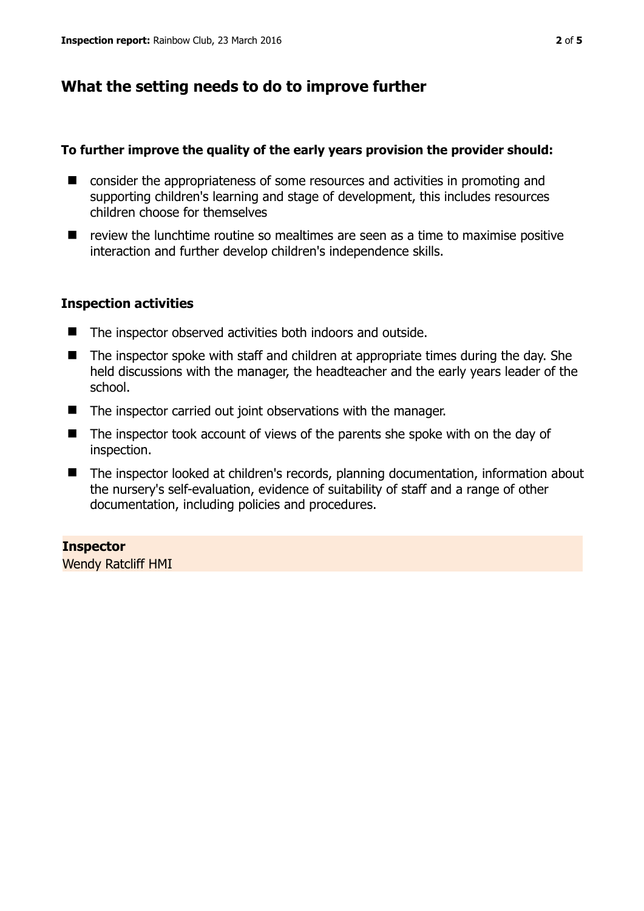# **What the setting needs to do to improve further**

## **To further improve the quality of the early years provision the provider should:**

- consider the appropriateness of some resources and activities in promoting and supporting children's learning and stage of development, this includes resources children choose for themselves
- $\blacksquare$  review the lunchtime routine so mealtimes are seen as a time to maximise positive interaction and further develop children's independence skills.

## **Inspection activities**

- The inspector observed activities both indoors and outside.
- The inspector spoke with staff and children at appropriate times during the day. She held discussions with the manager, the headteacher and the early years leader of the school.
- The inspector carried out joint observations with the manager.
- The inspector took account of views of the parents she spoke with on the day of inspection.
- The inspector looked at children's records, planning documentation, information about the nursery's self-evaluation, evidence of suitability of staff and a range of other documentation, including policies and procedures.

## **Inspector**

Wendy Ratcliff HMI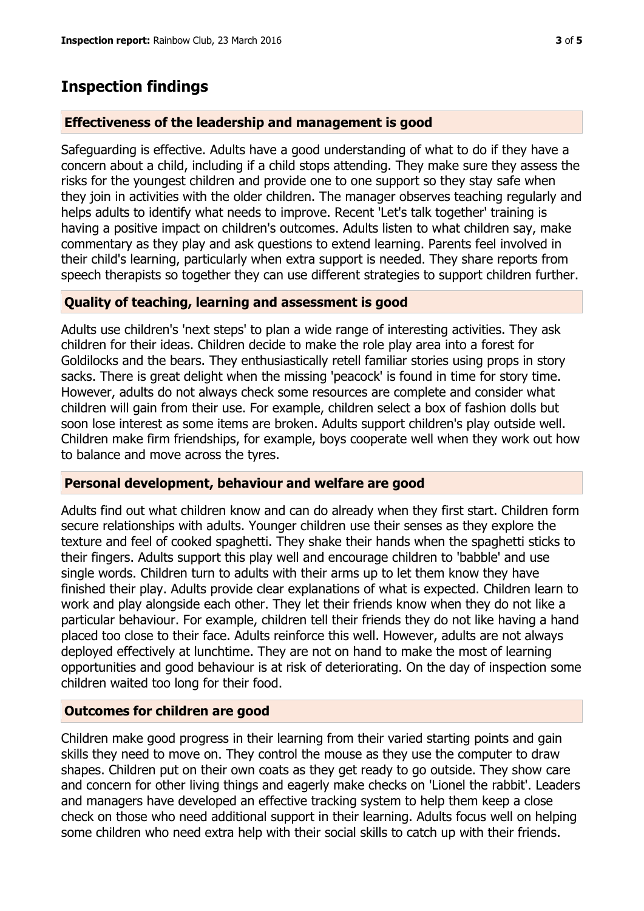## **Inspection findings**

#### **Effectiveness of the leadership and management is good**

Safeguarding is effective. Adults have a good understanding of what to do if they have a concern about a child, including if a child stops attending. They make sure they assess the risks for the youngest children and provide one to one support so they stay safe when they join in activities with the older children. The manager observes teaching regularly and helps adults to identify what needs to improve. Recent 'Let's talk together' training is having a positive impact on children's outcomes. Adults listen to what children say, make commentary as they play and ask questions to extend learning. Parents feel involved in their child's learning, particularly when extra support is needed. They share reports from speech therapists so together they can use different strategies to support children further.

#### **Quality of teaching, learning and assessment is good**

Adults use children's 'next steps' to plan a wide range of interesting activities. They ask children for their ideas. Children decide to make the role play area into a forest for Goldilocks and the bears. They enthusiastically retell familiar stories using props in story sacks. There is great delight when the missing 'peacock' is found in time for story time. However, adults do not always check some resources are complete and consider what children will gain from their use. For example, children select a box of fashion dolls but soon lose interest as some items are broken. Adults support children's play outside well. Children make firm friendships, for example, boys cooperate well when they work out how to balance and move across the tyres.

#### **Personal development, behaviour and welfare are good**

Adults find out what children know and can do already when they first start. Children form secure relationships with adults. Younger children use their senses as they explore the texture and feel of cooked spaghetti. They shake their hands when the spaghetti sticks to their fingers. Adults support this play well and encourage children to 'babble' and use single words. Children turn to adults with their arms up to let them know they have finished their play. Adults provide clear explanations of what is expected. Children learn to work and play alongside each other. They let their friends know when they do not like a particular behaviour. For example, children tell their friends they do not like having a hand placed too close to their face. Adults reinforce this well. However, adults are not always deployed effectively at lunchtime. They are not on hand to make the most of learning opportunities and good behaviour is at risk of deteriorating. On the day of inspection some children waited too long for their food.

#### **Outcomes for children are good**

Children make good progress in their learning from their varied starting points and gain skills they need to move on. They control the mouse as they use the computer to draw shapes. Children put on their own coats as they get ready to go outside. They show care and concern for other living things and eagerly make checks on 'Lionel the rabbit'. Leaders and managers have developed an effective tracking system to help them keep a close check on those who need additional support in their learning. Adults focus well on helping some children who need extra help with their social skills to catch up with their friends.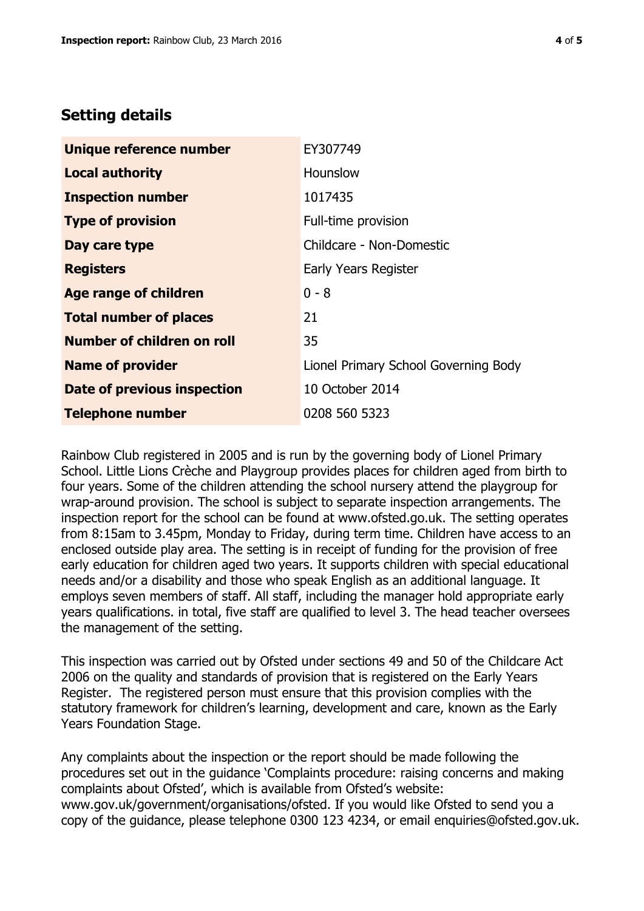## **Setting details**

| Unique reference number            | EY307749                             |
|------------------------------------|--------------------------------------|
| <b>Local authority</b>             | <b>Hounslow</b>                      |
| <b>Inspection number</b>           | 1017435                              |
| <b>Type of provision</b>           | Full-time provision                  |
| Day care type                      | Childcare - Non-Domestic             |
| <b>Registers</b>                   | Early Years Register                 |
| <b>Age range of children</b>       | $0 - 8$                              |
| <b>Total number of places</b>      | 21                                   |
| Number of children on roll         | 35                                   |
| <b>Name of provider</b>            | Lionel Primary School Governing Body |
| <b>Date of previous inspection</b> | 10 October 2014                      |
| <b>Telephone number</b>            | 0208 560 5323                        |

Rainbow Club registered in 2005 and is run by the governing body of Lionel Primary School. Little Lions Crèche and Playgroup provides places for children aged from birth to four years. Some of the children attending the school nursery attend the playgroup for wrap-around provision. The school is subject to separate inspection arrangements. The inspection report for the school can be found at www.ofsted.go.uk. The setting operates from 8:15am to 3.45pm, Monday to Friday, during term time. Children have access to an enclosed outside play area. The setting is in receipt of funding for the provision of free early education for children aged two years. It supports children with special educational needs and/or a disability and those who speak English as an additional language. It employs seven members of staff. All staff, including the manager hold appropriate early years qualifications. in total, five staff are qualified to level 3. The head teacher oversees the management of the setting.

This inspection was carried out by Ofsted under sections 49 and 50 of the Childcare Act 2006 on the quality and standards of provision that is registered on the Early Years Register. The registered person must ensure that this provision complies with the statutory framework for children's learning, development and care, known as the Early Years Foundation Stage.

Any complaints about the inspection or the report should be made following the procedures set out in the guidance 'Complaints procedure: raising concerns and making complaints about Ofsted', which is available from Ofsted's website: www.gov.uk/government/organisations/ofsted. If you would like Ofsted to send you a copy of the guidance, please telephone 0300 123 4234, or email enquiries@ofsted.gov.uk.